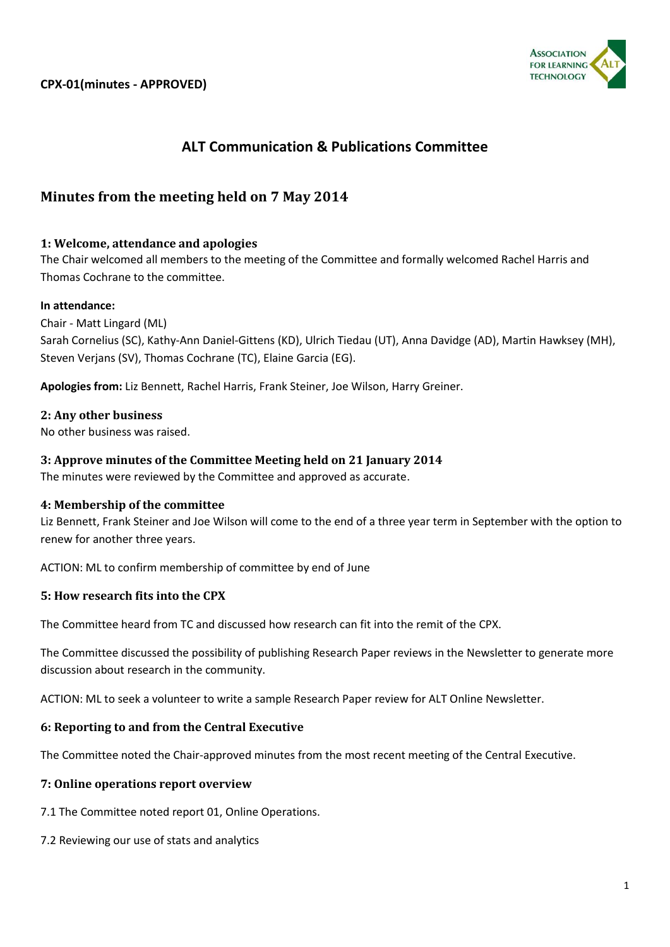

# **ALT Communication & Publications Committee**

# **Minutes from the meeting held on 7 May 2014**

# **1: Welcome, attendance and apologies**

The Chair welcomed all members to the meeting of the Committee and formally welcomed Rachel Harris and Thomas Cochrane to the committee.

### **In attendance:**

Chair - Matt Lingard (ML) Sarah Cornelius (SC), Kathy-Ann Daniel-Gittens (KD), Ulrich Tiedau (UT), Anna Davidge (AD), Martin Hawksey (MH), Steven Verjans (SV), Thomas Cochrane (TC), Elaine Garcia (EG).

**Apologies from:** Liz Bennett, Rachel Harris, Frank Steiner, Joe Wilson, Harry Greiner.

### **2: Any other business**

No other business was raised.

### **3: Approve minutes of the Committee Meeting held on 21 January 2014**

The minutes were reviewed by the Committee and approved as accurate.

### **4: Membership of the committee**

Liz Bennett, Frank Steiner and Joe Wilson will come to the end of a three year term in September with the option to renew for another three years.

ACTION: ML to confirm membership of committee by end of June

# **5: How research fits into the CPX**

The Committee heard from TC and discussed how research can fit into the remit of the CPX.

The Committee discussed the possibility of publishing Research Paper reviews in the Newsletter to generate more discussion about research in the community.

ACTION: ML to seek a volunteer to write a sample Research Paper review for ALT Online Newsletter.

# **6: Reporting to and from the Central Executive**

The Committee noted the Chair-approved minutes from the most recent meeting of the Central Executive.

### **7: Online operations report overview**

- 7.1 The Committee noted report 01, Online Operations.
- 7.2 Reviewing our use of stats and analytics